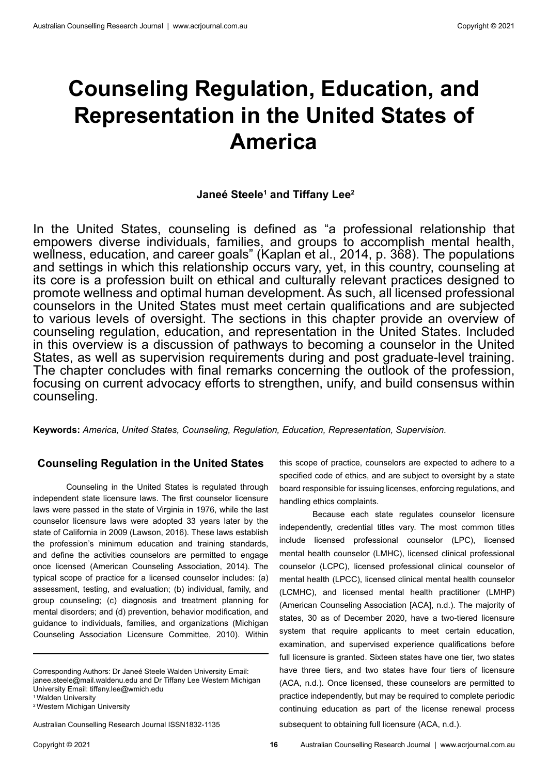# **Counseling Regulation, Education, and Representation in the United States of America**

## Janeé Steele<sup>1</sup> and Tiffany Lee<sup>2</sup>

In the United States, counseling is defined as "a professional relationship that empowers diverse individuals, families, and groups to accomplish mental health, wellness, education, and career goals" (Kaplan et al., 2014, p. 368). The populations and settings in which this relationship occurs vary, yet, in this country, counseling at its core is a profession built on ethical and culturally relevant practices designed to promote wellness and optimal human development. As such, all licensed professional counselors in the United States must meet certain qualifications and are subjected to various levels of oversight. The sections in this chapter provide an overview of counseling regulation, education, and representation in the United States. Included in this overview is a discussion of pathways to becoming a counselor in the United States, as well as supervision requirements during and post graduate-level training. The chapter concludes with final remarks concerning the outlook of the profession, focusing on current advocacy efforts to strengthen, unify, and build consensus within counseling.

**Keywords:** *America, United States, Counseling, Regulation, Education, Representation, Supervision.* 

#### **Counseling Regulation in the United States**

Counseling in the United States is regulated through independent state licensure laws. The first counselor licensure laws were passed in the state of Virginia in 1976, while the last counselor licensure laws were adopted 33 years later by the state of California in 2009 (Lawson, 2016). These laws establish the profession's minimum education and training standards, and define the activities counselors are permitted to engage once licensed (American Counseling Association, 2014). The typical scope of practice for a licensed counselor includes: (a) assessment, testing, and evaluation; (b) individual, family, and group counseling; (c) diagnosis and treatment planning for mental disorders; and (d) prevention, behavior modification, and guidance to individuals, families, and organizations (Michigan Counseling Association Licensure Committee, 2010). Within

Australian Counselling Research Journal ISSN1832-1135

this scope of practice, counselors are expected to adhere to a specified code of ethics, and are subject to oversight by a state board responsible for issuing licenses, enforcing regulations, and handling ethics complaints.

Because each state regulates counselor licensure independently, credential titles vary. The most common titles include licensed professional counselor (LPC), licensed mental health counselor (LMHC), licensed clinical professional counselor (LCPC), licensed professional clinical counselor of mental health (LPCC), licensed clinical mental health counselor (LCMHC), and licensed mental health practitioner (LMHP) (American Counseling Association [ACA], n.d.). The majority of states, 30 as of December 2020, have a two-tiered licensure system that require applicants to meet certain education, examination, and supervised experience qualifications before full licensure is granted. Sixteen states have one tier, two states have three tiers, and two states have four tiers of licensure (ACA, n.d.). Once licensed, these counselors are permitted to practice independently, but may be required to complete periodic continuing education as part of the license renewal process subsequent to obtaining full licensure (ACA, n.d.).

Corresponding Authors: Dr Janeé Steele Walden University Email: janee.steele@mail.waldenu.edu and Dr Tiffany Lee Western Michigan University Email: tiffany.lee@wmich.edu

<sup>&</sup>lt;sup>1</sup> Walden University

<sup>2</sup> Western Michigan University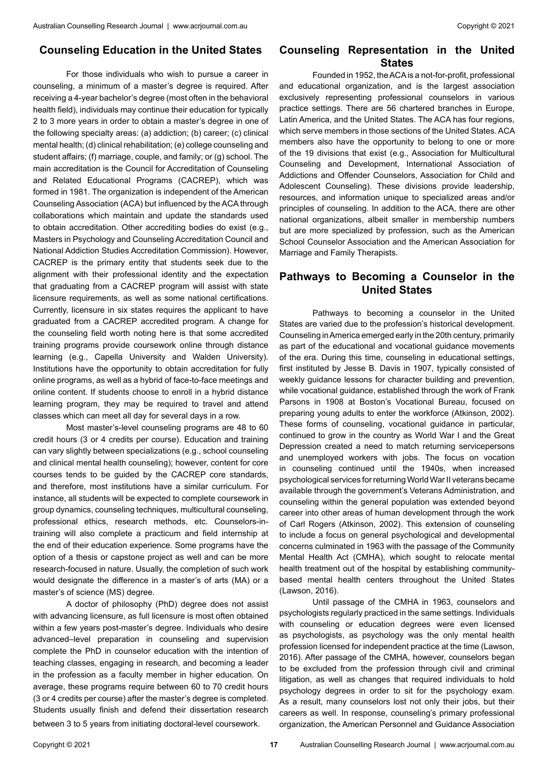#### **Counseling Education in the United States**

For those individuals who wish to pursue a career in counseling, a minimum of a master's degree is required. After receiving a 4-year bachelor's degree (most often in the behavioral health field), individuals may continue their education for typically 2 to 3 more years in order to obtain a master's degree in one of the following specialty areas: (a) addiction; (b) career; (c) clinical mental health; (d) clinical rehabilitation; (e) college counseling and student affairs; (f) marriage, couple, and family; or (g) school. The main accreditation is the Council for Accreditation of Counseling and Related Educational Programs (CACREP), which was formed in 1981. The organization is independent of the American Counseling Association (ACA) but influenced by the ACA through collaborations which maintain and update the standards used to obtain accreditation. Other accrediting bodies do exist (e.g., Masters in Psychology and Counseling Accreditation Council and National Addiction Studies Accreditation Commission). However, CACREP is the primary entity that students seek due to the alignment with their professional identity and the expectation that graduating from a CACREP program will assist with state licensure requirements, as well as some national certifications. Currently, licensure in six states requires the applicant to have graduated from a CACREP accredited program. A change for the counseling field worth noting here is that some accredited training programs provide coursework online through distance learning (e.g., Capella University and Walden University). Institutions have the opportunity to obtain accreditation for fully online programs, as well as a hybrid of face-to-face meetings and online content. If students choose to enroll in a hybrid distance learning program, they may be required to travel and attend classes which can meet all day for several days in a row.

Most master's-level counseling programs are 48 to 60 credit hours (3 or 4 credits per course). Education and training can vary slightly between specializations (e.g., school counseling and clinical mental health counseling); however, content for core courses tends to be guided by the CACREP core standards, and therefore, most institutions have a similar curriculum. For instance, all students will be expected to complete coursework in group dynamics, counseling techniques, multicultural counseling, professional ethics, research methods, etc. Counselors-intraining will also complete a practicum and field internship at the end of their education experience. Some programs have the option of a thesis or capstone project as well and can be more research-focused in nature. Usually, the completion of such work would designate the difference in a master's of arts (MA) or a master's of science (MS) degree.

A doctor of philosophy (PhD) degree does not assist with advancing licensure, as full licensure is most often obtained within a few years post-master's degree. Individuals who desire advanced–level preparation in counseling and supervision complete the PhD in counselor education with the intention of teaching classes, engaging in research, and becoming a leader in the profession as a faculty member in higher education. On average, these programs require between 60 to 70 credit hours (3 or 4 credits per course) after the master's degree is completed. Students usually finish and defend their dissertation research between 3 to 5 years from initiating doctoral-level coursework.

### **Counseling Representation in the United States**

Founded in 1952, the ACA is a not-for-profit, professional and educational organization, and is the largest association exclusively representing professional counselors in various practice settings. There are 56 chartered branches in Europe, Latin America, and the United States. The ACA has four regions, which serve members in those sections of the United States. ACA members also have the opportunity to belong to one or more of the 19 divisions that exist (e.g., Association for Multicultural Counseling and Development, International Association of Addictions and Offender Counselors, Association for Child and Adolescent Counseling). These divisions provide leadership, resources, and information unique to specialized areas and/or principles of counseling. In addition to the ACA, there are other national organizations, albeit smaller in membership numbers but are more specialized by profession, such as the American School Counselor Association and the American Association for Marriage and Family Therapists.

#### **Pathways to Becoming a Counselor in the United States**

Pathways to becoming a counselor in the United States are varied due to the profession's historical development. Counseling in America emerged early in the 20th century, primarily as part of the educational and vocational guidance movements of the era. During this time, counseling in educational settings, first instituted by Jesse B. Davis in 1907, typically consisted of weekly guidance lessons for character building and prevention, while vocational guidance, established through the work of Frank Parsons in 1908 at Boston's Vocational Bureau, focused on preparing young adults to enter the workforce (Atkinson, 2002). These forms of counseling, vocational guidance in particular, continued to grow in the country as World War I and the Great Depression created a need to match returning servicepersons and unemployed workers with jobs. The focus on vocation in counseling continued until the 1940s, when increased psychological services for returning World War II veterans became available through the government's Veterans Administration, and counseling within the general population was extended beyond career into other areas of human development through the work of Carl Rogers (Atkinson, 2002). This extension of counseling to include a focus on general psychological and developmental concerns culminated in 1963 with the passage of the Community Mental Health Act (CMHA), which sought to relocate mental health treatment out of the hospital by establishing communitybased mental health centers throughout the United States (Lawson, 2016).

Until passage of the CMHA in 1963, counselors and psychologists regularly practiced in the same settings. Individuals with counseling or education degrees were even licensed as psychologists, as psychology was the only mental health profession licensed for independent practice at the time (Lawson, 2016). After passage of the CMHA, however, counselors began to be excluded from the profession through civil and criminal litigation, as well as changes that required individuals to hold psychology degrees in order to sit for the psychology exam. As a result, many counselors lost not only their jobs, but their careers as well. In response, counseling's primary professional organization, the American Personnel and Guidance Association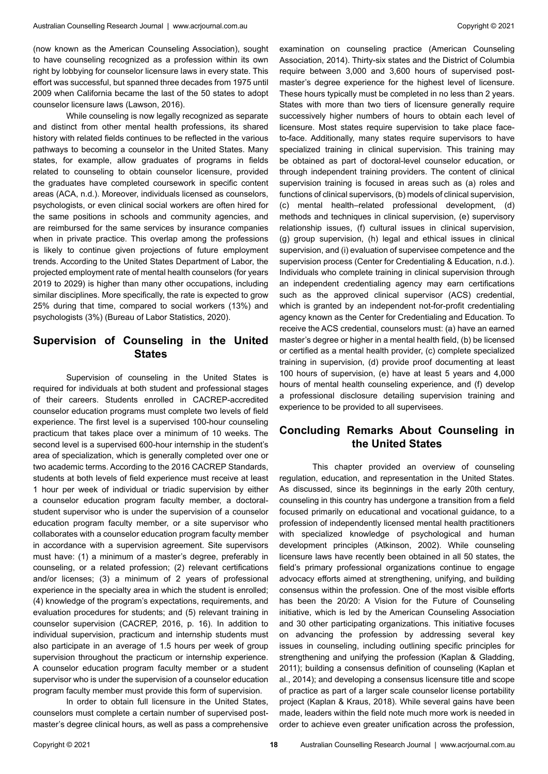(now known as the American Counseling Association), sought to have counseling recognized as a profession within its own right by lobbying for counselor licensure laws in every state. This effort was successful, but spanned three decades from 1975 until 2009 when California became the last of the 50 states to adopt counselor licensure laws (Lawson, 2016).

While counseling is now legally recognized as separate and distinct from other mental health professions, its shared history with related fields continues to be reflected in the various pathways to becoming a counselor in the United States. Many states, for example, allow graduates of programs in fields related to counseling to obtain counselor licensure, provided the graduates have completed coursework in specific content areas (ACA, n.d.). Moreover, individuals licensed as counselors, psychologists, or even clinical social workers are often hired for the same positions in schools and community agencies, and are reimbursed for the same services by insurance companies when in private practice. This overlap among the professions is likely to continue given projections of future employment trends. According to the United States Department of Labor, the projected employment rate of mental health counselors (for years 2019 to 2029) is higher than many other occupations, including similar disciplines. More specifically, the rate is expected to grow 25% during that time, compared to social workers (13%) and psychologists (3%) (Bureau of Labor Statistics, 2020).

## **Supervision of Counseling in the United States**

Supervision of counseling in the United States is required for individuals at both student and professional stages of their careers. Students enrolled in CACREP-accredited counselor education programs must complete two levels of field experience. The first level is a supervised 100-hour counseling practicum that takes place over a minimum of 10 weeks. The second level is a supervised 600-hour internship in the student's area of specialization, which is generally completed over one or two academic terms. According to the 2016 CACREP Standards, students at both levels of field experience must receive at least 1 hour per week of individual or triadic supervision by either a counselor education program faculty member, a doctoralstudent supervisor who is under the supervision of a counselor education program faculty member, or a site supervisor who collaborates with a counselor education program faculty member in accordance with a supervision agreement. Site supervisors must have: (1) a minimum of a master's degree, preferably in counseling, or a related profession; (2) relevant certifications and/or licenses; (3) a minimum of 2 years of professional experience in the specialty area in which the student is enrolled; (4) knowledge of the program's expectations, requirements, and evaluation procedures for students; and (5) relevant training in counselor supervision (CACREP, 2016, p. 16). In addition to individual supervision, practicum and internship students must also participate in an average of 1.5 hours per week of group supervision throughout the practicum or internship experience. A counselor education program faculty member or a student supervisor who is under the supervision of a counselor education program faculty member must provide this form of supervision.

In order to obtain full licensure in the United States. counselors must complete a certain number of supervised postmaster's degree clinical hours, as well as pass a comprehensive examination on counseling practice (American Counseling Association, 2014). Thirty-six states and the District of Columbia require between 3,000 and 3,600 hours of supervised postmaster's degree experience for the highest level of licensure. These hours typically must be completed in no less than 2 years. States with more than two tiers of licensure generally require successively higher numbers of hours to obtain each level of licensure. Most states require supervision to take place faceto-face. Additionally, many states require supervisors to have specialized training in clinical supervision. This training may be obtained as part of doctoral-level counselor education, or through independent training providers. The content of clinical supervision training is focused in areas such as (a) roles and functions of clinical supervisors, (b) models of clinical supervision, (c) mental health–related professional development, (d) methods and techniques in clinical supervision, (e) supervisory relationship issues, (f) cultural issues in clinical supervision, (g) group supervision, (h) legal and ethical issues in clinical supervision, and (i) evaluation of supervisee competence and the supervision process (Center for Credentialing & Education, n.d.). Individuals who complete training in clinical supervision through an independent credentialing agency may earn certifications such as the approved clinical supervisor (ACS) credential, which is granted by an independent not-for-profit credentialing agency known as the Center for Credentialing and Education. To receive the ACS credential, counselors must: (a) have an earned master's degree or higher in a mental health field, (b) be licensed or certified as a mental health provider, (c) complete specialized training in supervision, (d) provide proof documenting at least 100 hours of supervision, (e) have at least 5 years and 4,000 hours of mental health counseling experience, and (f) develop a professional disclosure detailing supervision training and experience to be provided to all supervisees.

### **Concluding Remarks About Counseling in the United States**

This chapter provided an overview of counseling regulation, education, and representation in the United States. As discussed, since its beginnings in the early 20th century, counseling in this country has undergone a transition from a field focused primarily on educational and vocational guidance, to a profession of independently licensed mental health practitioners with specialized knowledge of psychological and human development principles (Atkinson, 2002). While counseling licensure laws have recently been obtained in all 50 states, the field's primary professional organizations continue to engage advocacy efforts aimed at strengthening, unifying, and building consensus within the profession. One of the most visible efforts has been the 20/20: A Vision for the Future of Counseling initiative, which is led by the American Counseling Association and 30 other participating organizations. This initiative focuses on advancing the profession by addressing several key issues in counseling, including outlining specific principles for strengthening and unifying the profession (Kaplan & Gladding, 2011); building a consensus definition of counseling (Kaplan et al., 2014); and developing a consensus licensure title and scope of practice as part of a larger scale counselor license portability project (Kaplan & Kraus, 2018). While several gains have been made, leaders within the field note much more work is needed in order to achieve even greater unification across the profession,